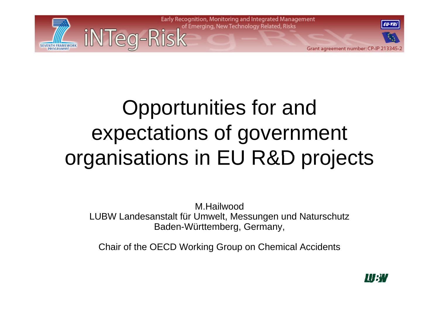

## Opportunities for and expectations of government organisations in EU R&D projects

M.HailwoodLUBW Landesanstalt für Umwelt, Messungen und Naturschutz Baden-Württemberg, Germany,

Chair of the OECD Working Group on Chemical Accidents

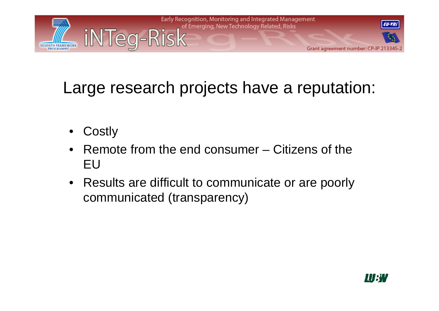

#### Large research projects have <sup>a</sup> reputation: a

- $\bullet$ **Costly**
- $\bullet$  Remote from the end consumer – Citizens of the EU
- $\bullet$  Results are difficult to communicate or are poorly communicated (transparency)

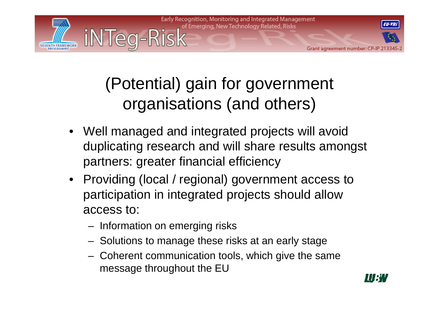

### (Potential) gain for government organisations (and others)

- Well managed and integrated projects will avoid duplicating research and will share results amongst partners: greater financial efficiency
- Providing (local / regional) government access to participation in integrated projects should allow access to:
	- $-$  Information on emerging risks
	- Solutions to manage these risks at an early stage
	- Coherent communication tools, which give the same message throughout the EU

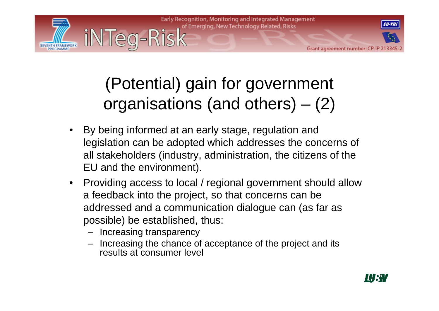

### (Potential) gain for government organisations (and others) – (2)

- $\bullet$  By being informed at an early stage, regulation and legislation can be adopted which addresses the concerns of all stakeholders (industry, administration, the citizens of the EU and the environment).
- $\bullet$  Providing access to local / regional government should allow a feedback into the project, so that concerns can be addressed and a communication dialogue can (as far as possible) be established, thus:
	- Increasing transparency
	- Increasing the chance of acceptance of the project and its results at consumer level

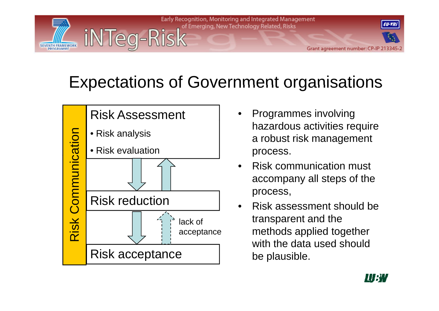

#### Expectations of Government organisations



- hazardous activities require a robust risk management process. p
- • Risk communication must accompany all steps of the
- • Risk assessment should be transparent and the with the data used should be plausible. p

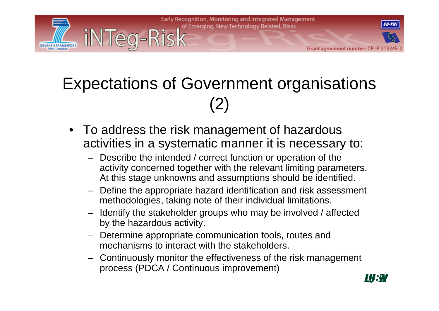

#### Expectations of Government organisations (2)

- To address the risk management of hazardous activities in a systematic manner it is necessary to:
	- Describe the intended / correct function or operation of the activity concerned together with the relevant limiting parameters. At this stage unknowns and assumptions should be identified.
	- $-$  Define the appropriate hazard identification and risk assessment methodologies, taking note of their individual limitations.
	- Identify the stakeholder groups who may be involved / affected by the hazardous activity.
	- Determine appropriate communication tools, routes and mechanisms to interact with the stakeholders.
	- Continuously monitor the effectiveness of the risk management process (PDCA / Continuous improvement)